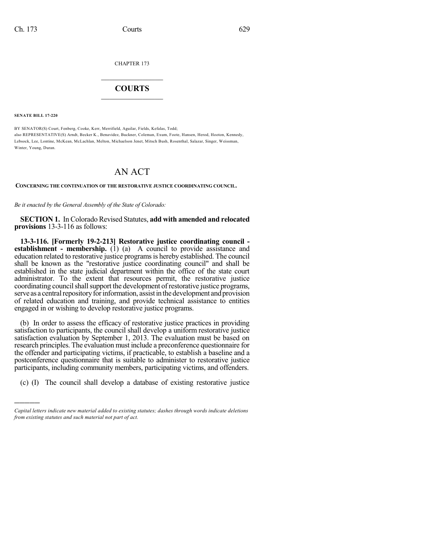CHAPTER 173

## $\mathcal{L}_\text{max}$  . The set of the set of the set of the set of the set of the set of the set of the set of the set of the set of the set of the set of the set of the set of the set of the set of the set of the set of the set **COURTS**  $\_$

**SENATE BILL 17-220**

)))))

BY SENATOR(S) Court, Fenberg, Cooke, Kerr, Merrifield, Aguilar, Fields, Kefalas, Todd; also REPRESENTATIVE(S) Arndt, Becker K., Benavidez, Buckner, Coleman, Exum, Foote, Hansen, Herod, Hooton, Kennedy, Lebsock, Lee, Lontine, McKean, McLachlan, Melton, Michaelson Jenet, Mitsch Bush, Rosenthal, Salazar, Singer, Weissman, Winter, Young, Duran.

## AN ACT

## **CONCERNING THE CONTINUATION OF THE RESTORATIVE JUSTICE COORDINATING COUNCIL.**

*Be it enacted by the General Assembly of the State of Colorado:*

**SECTION 1.** In Colorado Revised Statutes, **add with amended and relocated provisions** 13-3-116 as follows:

**13-3-116. [Formerly 19-2-213] Restorative justice coordinating council establishment - membership.** (1) (a) A council to provide assistance and education related to restorative justice programs is hereby established. The council shall be known as the "restorative justice coordinating council" and shall be established in the state judicial department within the office of the state court administrator. To the extent that resources permit, the restorative justice coordinating councilshallsupport the development ofrestorative justice programs, serve as a central repository for information, assist in the development and provision of related education and training, and provide technical assistance to entities engaged in or wishing to develop restorative justice programs.

(b) In order to assess the efficacy of restorative justice practices in providing satisfaction to participants, the council shall develop a uniform restorative justice satisfaction evaluation by September 1, 2013. The evaluation must be based on research principles. The evaluation must include a preconference questionnaire for the offender and participating victims, if practicable, to establish a baseline and a postconference questionnaire that is suitable to administer to restorative justice participants, including community members, participating victims, and offenders.

(c) (I) The council shall develop a database of existing restorative justice

*Capital letters indicate new material added to existing statutes; dashes through words indicate deletions from existing statutes and such material not part of act.*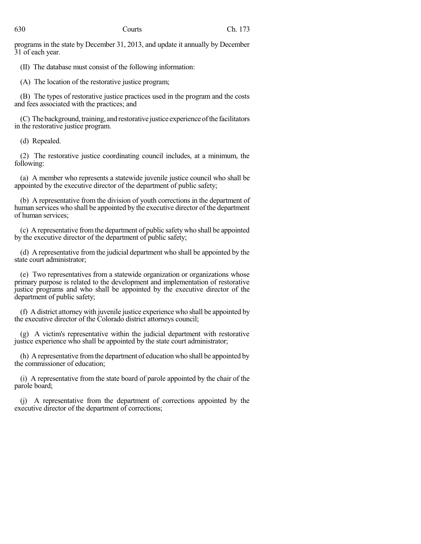programs in the state by December 31, 2013, and update it annually by December 31 of each year.

(II) The database must consist of the following information:

(A) The location of the restorative justice program;

(B) The types of restorative justice practices used in the program and the costs and fees associated with the practices; and

(C) The background, training, and restorative justice experience of the facilitators in the restorative justice program.

(d) Repealed.

(2) The restorative justice coordinating council includes, at a minimum, the following:

(a) A member who represents a statewide juvenile justice council who shall be appointed by the executive director of the department of public safety;

(b) A representative from the division of youth corrections in the department of human services who shall be appointed by the executive director of the department of human services;

(c) A representative fromthe department of public safety who shall be appointed by the executive director of the department of public safety;

(d) A representative from the judicial department who shall be appointed by the state court administrator;

(e) Two representatives from a statewide organization or organizations whose primary purpose is related to the development and implementation of restorative justice programs and who shall be appointed by the executive director of the department of public safety;

(f) A district attorney with juvenile justice experience who shall be appointed by the executive director of the Colorado district attorneys council;

(g) A victim's representative within the judicial department with restorative justice experience who shall be appointed by the state court administrator;

(h) A representative fromthe department of education who shall be appointed by the commissioner of education;

(i) A representative from the state board of parole appointed by the chair of the parole board;

(j) A representative from the department of corrections appointed by the executive director of the department of corrections;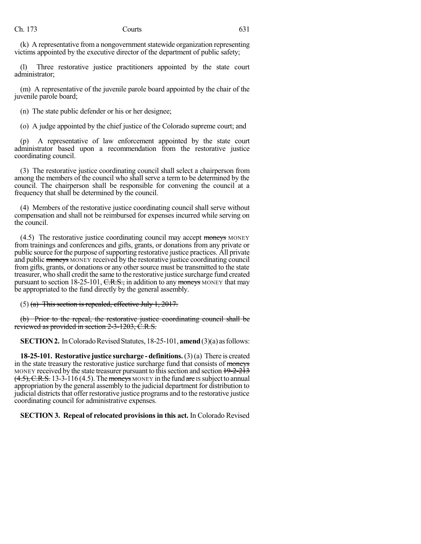(k) A representative from a nongovernment statewide organization representing victims appointed by the executive director of the department of public safety;

(l) Three restorative justice practitioners appointed by the state court administrator;

(m) A representative of the juvenile parole board appointed by the chair of the juvenile parole board;

(n) The state public defender or his or her designee;

(o) A judge appointed by the chief justice of the Colorado supreme court; and

(p) A representative of law enforcement appointed by the state court administrator based upon a recommendation from the restorative justice coordinating council.

(3) The restorative justice coordinating council shall select a chairperson from among the members of the council who shall serve a term to be determined by the council. The chairperson shall be responsible for convening the council at a frequency that shall be determined by the council.

(4) Members of the restorative justice coordinating council shall serve without compensation and shall not be reimbursed for expenses incurred while serving on the council.

(4.5) The restorative justice coordinating council may accept moneys MONEY from trainings and conferences and gifts, grants, or donations from any private or public source for the purpose of supporting restorative justice practices. All private and public moneys MONEY received by the restorative justice coordinating council from gifts, grants, or donations or any other source must be transmitted to the state treasurer, who shall credit the same to the restorative justice surcharge fund created pursuant to section 18-25-101,  $C.R.S.,$  in addition to any moneys MONEY that may be appropriated to the fund directly by the general assembly.

 $(5)$  (a) This section is repealed, effective July 1, 2017.

(b) Prior to the repeal, the restorative justice coordinating council shall be reviewed as provided in section 2-3-1203, C.R.S.

**SECTION 2.** In Colorado Revised Statutes, 18-25-101, **amend** (3)(a) as follows:

**18-25-101. Restorative justice surcharge - definitions.**(3)(a) There is created in the state treasury the restorative justice surcharge fund that consists of moneys MONEY received by the state treasurer pursuant to this section and section  $19-2-213$  $(4.5)$ , C.R.S. 13-3-116 (4.5). The moneys MONEY in the fund are IS subject to annual appropriation by the general assembly to the judicial department for distribution to judicial districts that offer restorative justice programs and to the restorative justice coordinating council for administrative expenses.

**SECTION 3. Repeal of relocated provisionsin this act.** In Colorado Revised